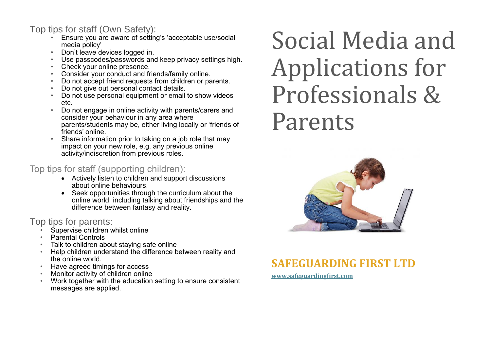#### Top tips for staff (Own Safety):

- Ensure you are aware of setting's 'acceptable use/social media policy'
- Don't leave devices logged in.
- Use passcodes/passwords and keep privacy settings high.
- Check your online presence.
- Consider your conduct and friends/family online.
- Do not accept friend requests from children or parents.
- Do not give out personal contact details.
- Do not use personal equipment or email to show videos etc.
- Do not engage in online activity with parents/carers and consider your behaviour in any area where parents/students may be, either living locally or 'friends of friends' online.
- Share information prior to taking on a job role that may impact on your new role, e.g. any previous online activity/indiscretion from previous roles.

#### Top tips for staff (supporting children):

- Actively listen to children and support discussions about online behaviours.
- Seek opportunities through the curriculum about the online world, including talking about friendships and the difference between fantasy and reality.

#### Top tips for parents:

- Supervise children whilst online
- Parental Controls
- Talk to children about staying safe online
- Help children understand the difference between reality and the online world.
- Have agreed timings for access
- Monitor activity of children online
- Work together with the education setting to ensure consistent messages are applied.

# Social Media and Applications for Professionals & Parents



### **SAFEGUARDING FIRST LTD**

**[www.safeguardingfirst.com](http://www.safeguardingfirst.com/)**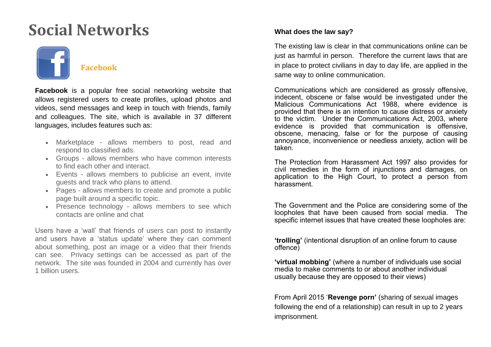## **Social Networks**



**Facebook** is a popular free social networking website that allows registered users to create profiles, upload photos and videos, send messages and keep in touch with friends, family and colleagues. The site, which is available in 37 different languages, includes features such as:

- Marketplace allows members to post, read and respond to classified ads.
- Groups allows members who have common interests to find each other and interact.
- Events allows members to publicise an event, invite guests and track who plans to attend.
- Pages allows members to create and promote a public page built around a specific topic.
- Presence technology allows members to see which contacts are online and chat

Users have a 'wall' that friends of users can post to instantly and users have a 'status update' where they can comment about something, post an image or a video that their friends can see. Privacy settings can be accessed as part of the network. The site was founded in 2004 and currently has over 1 billion users.

#### **What does the law say?**

The existing law is clear in that communications online can be just as harmful in person. Therefore the current laws that are in place to protect civilians in day to day life, are applied in the same way to online communication.

Communications which are considered as grossly offensive, indecent, obscene or false would be investigated under the Malicious Communications Act 1988, where evidence is provided that there is an intention to cause distress or anxiety to the victim. Under the Communications Act, 2003, where evidence is provided that communication is offensive, obscene, menacing, false or for the purpose of causing annoyance, inconvenience or needless anxiety, action will be taken.

The Protection from Harassment Act 1997 also provides for civil remedies in the form of injunctions and damages, on application to the High Court, to protect a person from harassment.

The Government and the Police are considering some of the loopholes that have been caused from social media. The specific internet issues that have created these loopholes are:

**'trolling'** (intentional disruption of an online forum to cause offence)

**'virtual mobbing'** (where a number of individuals use social media to make comments to or about another individual usually because they are opposed to their views)

From April 2015 '**Revenge porn'** (sharing of sexual images following the end of a relationship) can result in up to 2 years imprisonment.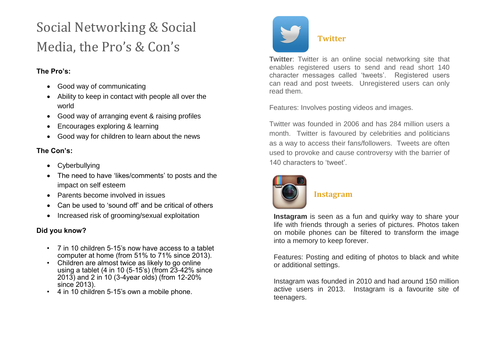### Social Networking & Social Media, the Pro's & Con's

#### **The Pro's:**

- Good way of communicating
- Ability to keep in contact with people all over the world
- Good way of arranging event & raising profiles
- Encourages exploring & learning
- Good way for children to learn about the news

#### **The Con's:**

- Cyberbullying
- The need to have 'likes/comments' to posts and the impact on self esteem
- Parents become involved in issues
- Can be used to 'sound off' and be critical of others
- Increased risk of grooming/sexual exploitation

#### **Did you know?**

- 7 in 10 children 5-15's now have access to a tablet computer at home (from 51% to 71% since 2013).
- Children are almost twice as likely to go online using a tablet (4 in 10 (5-15's) (from 23-42% since 2013) and 2 in 10 (3-4year olds) (from 12-20% since 2013).
- 4 in 10 children 5-15's own a mobile phone.



#### **Twitter**

**Twitter**: Twitter is an online social networking site that enables registered users to send and read short 140 character messages called 'tweets'. Registered users can read and post tweets. Unregistered users can only read them.

Features: Involves posting videos and images.

Twitter was founded in 2006 and has 284 million users a month. Twitter is favoured by celebrities and politicians as a way to access their fans/followers. Tweets are often used to provoke and cause controversy with the barrier of 140 characters to 'tweet'.



#### **Instagram**

**Instagram** is seen as a fun and quirky way to share your life with friends through a series of pictures. Photos taken on mobile phones can be filtered to transform the image into a memory to keep forever.

Features: Posting and editing of photos to black and white or additional settings.

Instagram was founded in 2010 and had around 150 million active users in 2013. Instagram is a favourite site of teenagers.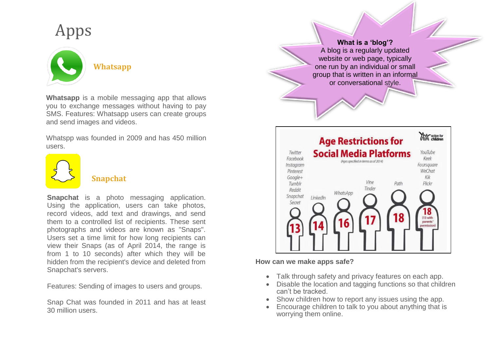# Apps



**Whatsapp** is a mobile messaging app that allows you to exchange messages without having to pay SMS. Features: Whatsapp users can create groups and send images and videos.

Whatspp was founded in 2009 and has 450 million users.



#### **Snapchat**

**Snapchat** is a photo messaging application. Using the application, users can take photos, record videos, add text and drawings, and send them to a controlled list of recipients. These sent photographs and videos are known as "Snaps". Users set a time limit for how long recipients can view their Snaps (as of April 2014, the range is from 1 to 10 seconds) after which they will be hidden from the recipient's device and deleted from Snapchat's servers.

Features: Sending of images to users and groups.

Snap Chat was founded in 2011 and has at least 30 million users.

**What is a 'blog'?** A blog is a regularly updated website or web page, typically one run by an individual or small group that is written in an informal or conversational style.



#### **How can we make apps safe?**

- Talk through safety and privacy features on each app.
- Disable the location and tagging functions so that children can't be tracked.
- Show children how to report any issues using the app.
- Encourage children to talk to you about anything that is worrying them online.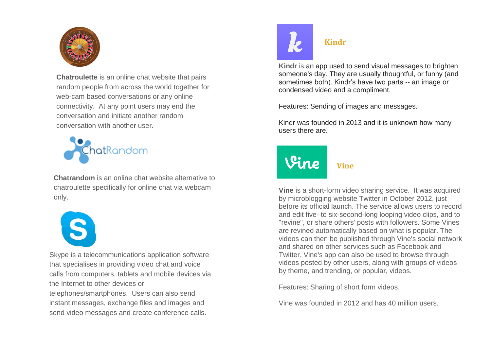

**Chatroulette** is an online chat website that pairs random people from across the world together for web-cam based conversations or any online connectivity. At any point users may end the conversation and initiate another random conversation with another user.



**Chatrandom** is an online chat website alternative to chatroulette specifically for online chat via webcam only.



Skype is a telecommunications application software that specialises in providing video chat and voice calls from computers, tablets and mobile devices via the Internet to other devices or telephones/smartphones. Users can also send instant messages, exchange files and images and send video messages and create conference calls.



#### **Kindr**

**Kindr** is an app used to send visual messages to brighten someone's day. They are usually thoughtful, or funny (and sometimes both). Kindr's have two parts -- an image or condensed video and a compliment.

Features: Sending of images and messages.

Kindr was founded in 2013 and it is unknown how many users there are.

# **Vine**

**Vine** is a short-form video sharing service. It was acquired by microblogging website Twitter in October 2012, just before its official launch. The service allows users to record and edit five- to six-second-long looping video clips, and to "revine", or share others' posts with followers. Some Vines are revined automatically based on what is popular. The videos can then be published through Vine's social network and shared on other services such as Facebook and Twitter. Vine's app can also be used to browse through videos posted by other users, along with groups of videos by theme, and trending, or popular, videos.

Features: Sharing of short form videos.

Vine was founded in 2012 and has 40 million users.